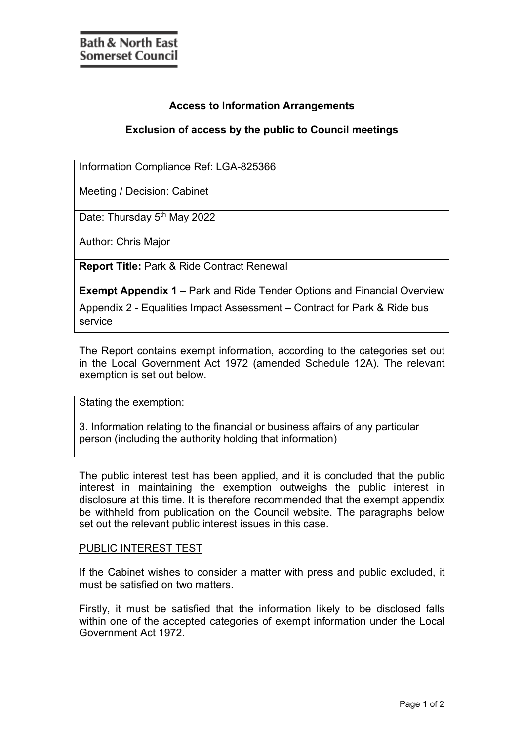## **Access to Information Arrangements**

## **Exclusion of access by the public to Council meetings**

Information Compliance Ref: LGA-825366

Meeting / Decision: Cabinet

Date: Thursday 5<sup>th</sup> May 2022

Author: Chris Major

**Report Title:** Park & Ride Contract Renewal

**Exempt Appendix 1 –** Park and Ride Tender Options and Financial Overview

Appendix 2 - Equalities Impact Assessment – Contract for Park & Ride bus service

The Report contains exempt information, according to the categories set out in the Local Government Act 1972 (amended Schedule 12A). The relevant exemption is set out below.

Stating the exemption:

3. Information relating to the financial or business affairs of any particular person (including the authority holding that information)

The public interest test has been applied, and it is concluded that the public interest in maintaining the exemption outweighs the public interest in disclosure at this time. It is therefore recommended that the exempt appendix be withheld from publication on the Council website. The paragraphs below set out the relevant public interest issues in this case.

## PUBLIC INTEREST TEST

If the Cabinet wishes to consider a matter with press and public excluded, it must be satisfied on two matters.

Firstly, it must be satisfied that the information likely to be disclosed falls within one of the accepted categories of exempt information under the Local Government Act 1972.